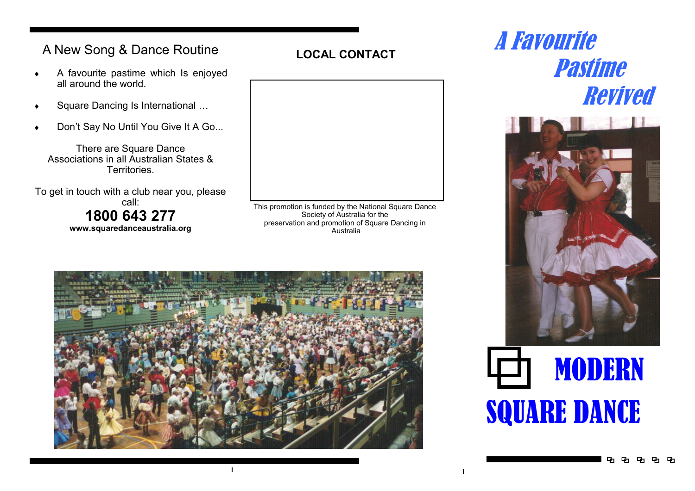## **LOCAL CONTACT** A New Song & Dance Routine

- A favourite pastime which Is enjoyed all around the world.
- Square Dancing Is International …
- Don't Say No Until You Give It A Go...

There are Square Dance Associations in all Australian States & Territories.

To get in touch with a club near you, please call: **1800 643 277 www.squaredanceaustralia.org**



This promotion is funded by the National Square Dance Society of Australia for the preservation and promotion of Square Dancing in Australia



 $\mathbf{I}$ 

# A Favourite Pastime Revived